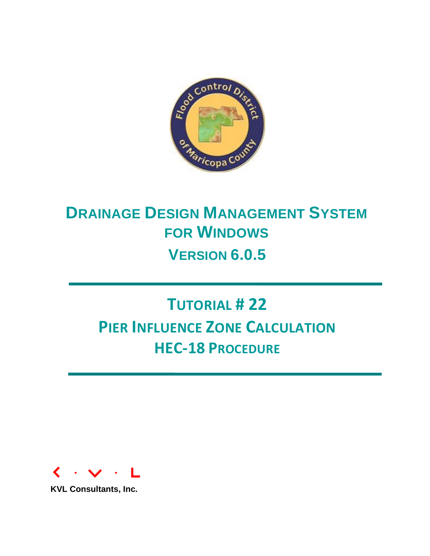

# **DRAINAGE DESIGN MANAGEMENT SYSTEM FOR WINDOWS VERSION 6.0.5**

# **TUTORIAL # 22 PIER INFLUENCE ZONE CALCULATION HEC-18 PROCEDURE**



**KVL Consultants, Inc.**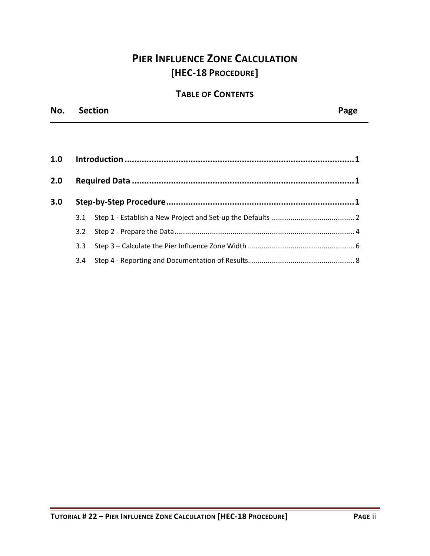## **PIER INFLUENCE ZONE CALCULATION [HEC-18 PROCEDURE]**

## **TABLE OF CONTENTS**

| No. Section | Page |
|-------------|------|
|             |      |

| 2.0 |     |  |  |  |  |
|-----|-----|--|--|--|--|
| 3.0 |     |  |  |  |  |
|     | 3.1 |  |  |  |  |
|     | 3.2 |  |  |  |  |
|     | 3.3 |  |  |  |  |
|     | 3.4 |  |  |  |  |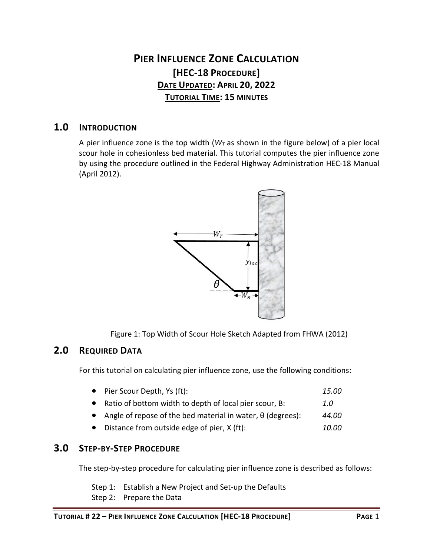## **PIER INFLUENCE ZONE CALCULATION [HEC-18 PROCEDURE] DATE UPDATED: APRIL 20, 2022 TUTORIAL TIME: 15 MINUTES**

### <span id="page-2-0"></span>**1.0 INTRODUCTION**

A pier influence zone is the top width  $(W<sub>T</sub>$  as shown in the figure below) of a pier local scour hole in cohesionless bed material. This tutorial computes the pier influence zone by using the procedure outlined in the Federal Highway Administration HEC-18 Manual (April 2012).



Figure 1: Top Width of Scour Hole Sketch Adapted from FHWA (2012)

## <span id="page-2-1"></span>**2.0 REQUIRED DATA**

For this tutorial on calculating pier influence zone, use the following conditions:

| • Pier Scour Depth, Ys (ft):                                        | 15.00 |
|---------------------------------------------------------------------|-------|
| Ratio of bottom width to depth of local pier scour, B:              | 1.0   |
| • Angle of repose of the bed material in water, $\theta$ (degrees): | 44.00 |
| Distance from outside edge of pier, X (ft):                         | 10.00 |

## <span id="page-2-2"></span>**3.0 STEP-BY-STEP PROCEDURE**

The step-by-step procedure for calculating pier influence zone is described as follows:

Step 1: Establish a New Project and Set-up the Defaults

Step 2: Prepare the Data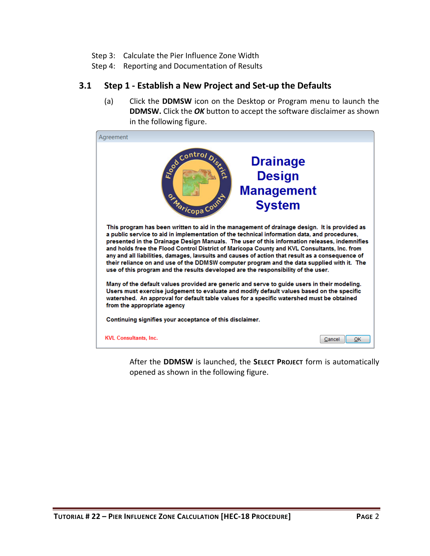- Step 3: Calculate the Pier Influence Zone Width
- Step 4: Reporting and Documentation of Results

#### <span id="page-3-0"></span>**3.1 Step 1 - Establish a New Project and Set-up the Defaults**

(a) Click the **DDMSW** icon on the Desktop or Program menu to launch the **DDMSW.** Click the *OK* button to accept the software disclaimer as shown in the following figure.



After the **DDMSW** is launched, the **SELECT PROJECT** form is automatically opened as shown in the following figure.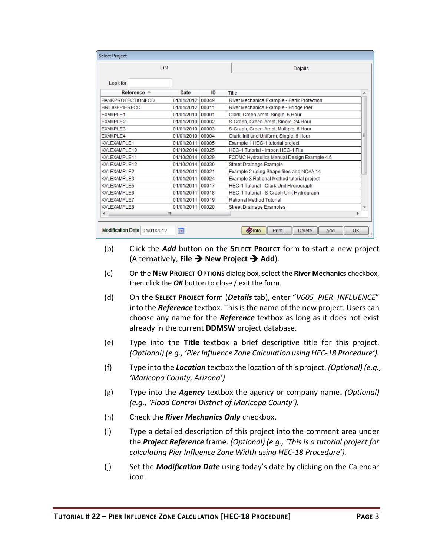| <b>Select Project</b>        |                          |       |                                                      |   |
|------------------------------|--------------------------|-------|------------------------------------------------------|---|
| List                         |                          |       | <b>Details</b>                                       |   |
| Look for                     |                          |       |                                                      |   |
| Reference $\triangle$        | Date                     | ID    | <b>Title</b>                                         | ▴ |
| <b>BANKPROTECTIONFCD</b>     | 01/01/2012               | 00049 | River Mechanics Example - Bank Protection            |   |
| <b>BRIDGEPIERFCD</b>         | 01/01/2012               | 00011 | River Mechanics Example - Bridge Pier                |   |
| <b>EXAMPLE1</b>              | 01/01/2010               | 00001 | Clark, Green Ampt, Single, 6 Hour                    |   |
| EXAMPLE2                     | 01/01/2010               | 00002 | S-Graph, Green-Ampt, Single, 24 Hour                 |   |
| <b>EXAMPLE3</b>              | 01/01/2010               | 00003 | S-Graph, Green-Ampt, Multiple, 6 Hour                |   |
| EXAMPLE4                     | 01/01/2010               | 00004 | Clark, Init and Uniform, Single, 6 Hour              | Ξ |
| <b>KVLEXAMPLE1</b>           | 01/01/2011               | 00005 | Example 1 HEC-1 tutorial project                     |   |
| KVLEXAMPLE10                 | 01/10/2014               | 00025 | HEC-1 Tutorial - Import HEC-1 File                   |   |
| KVLEXAMPLE11                 | 01/10/2014               | 00029 | FCDMC Hydraulics Manual Design Example 4.6           |   |
| KVLEXAMPLE12                 | 01/10/2014               | 00030 | <b>Street Drainage Example</b>                       |   |
| <b>KVLEXAMPLE2</b>           | 01/01/2011               | 00021 | Example 2 using Shape files and NOAA 14              |   |
| <b>KVLEXAMPLE3</b>           | 01/01/2011               | 00024 | Example 3 Rational Method tutorial project           |   |
| KVLEXAMPLE5                  | 01/01/2011               | 00017 | HEC-1 Tutorial - Clark Unit Hydrograph               |   |
| KVLEXAMPLE6                  | 01/01/2011               | 00018 | HEC-1 Tutorial - S-Graph Unit Hydrograph             |   |
| <b>KVLEXAMPLE7</b>           | 01/01/2011               | 00019 | <b>Rational Method Tutorial</b>                      |   |
| <b>KVLEXAMPLE8</b>           | 01/01/2011 00020         |       | <b>Street Drainage Examples</b>                      |   |
| ∢<br>ш                       |                          |       | r                                                    |   |
| Modification Date 01/01/2012 | $\overline{\phantom{a}}$ |       | <b>O</b> Info<br>OK<br>Print<br><b>Delete</b><br>Add |   |

- (b) Click the *Add* button on the **SELECT PROJECT** form to start a new project (Alternatively, **File** ➔ **New Project** ➔ **Add**).
- (c) On the **NEW PROJECT OPTIONS** dialog box, select the **River Mechanics** checkbox, then click the *OK* button to close / exit the form.
- (d) On the **SELECT PROJECT** form (*Details* tab), enter "*V605\_PIER\_INFLUENCE*" into the *Reference* textbox. This is the name of the new project. Users can choose any name for the *Reference* textbox as long as it does not exist already in the current **DDMSW** project database.
- (e) Type into the **Title** textbox a brief descriptive title for this project. *(Optional) (e.g., 'Pier Influence Zone Calculation using HEC-18 Procedure').*
- (f) Type into the *Location* textbox the location of this project. *(Optional) (e.g., 'Maricopa County, Arizona')*
- (g) Type into the *Agency* textbox the agency or company name**.** *(Optional) (e.g., 'Flood Control District of Maricopa County').*
- (h) Check the *River Mechanics Only* checkbox.
- (i) Type a detailed description of this project into the comment area under the *Project Reference* frame. *(Optional) (e.g., 'This is a tutorial project for calculating Pier Influence Zone Width using HEC-18 Procedure').*
- (j) Set the *Modification Date* using today's date by clicking on the Calendar icon.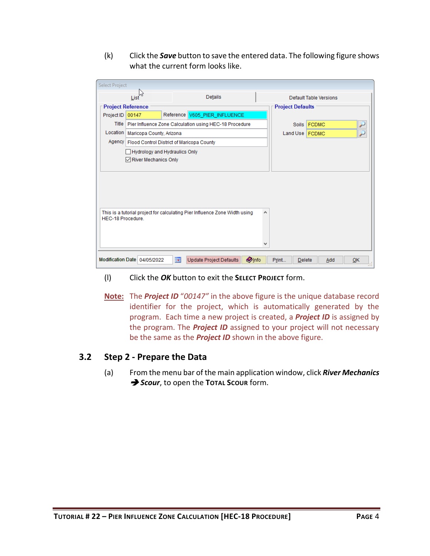(k) Click the *Save* button to save the entered data. The following figure shows what the current form looks like.

| Select Project           |                                                    |                         |                                                                            |              |                         |                        |    |  |  |
|--------------------------|----------------------------------------------------|-------------------------|----------------------------------------------------------------------------|--------------|-------------------------|------------------------|----|--|--|
|                          | List                                               |                         | <b>Details</b>                                                             |              |                         | Default Table Versions |    |  |  |
| <b>Project Reference</b> |                                                    |                         |                                                                            |              | <b>Project Defaults</b> |                        |    |  |  |
| Project ID               | 00147                                              |                         | Reference V605_PIER_INFLUENCE                                              |              |                         |                        |    |  |  |
|                          |                                                    |                         | Title   Pier Influence Zone Calculation using HEC-18 Procedure             |              | <b>Soils</b>            | <b>FCDMC</b>           | سن |  |  |
| Location                 | Maricopa County, Arizona                           |                         |                                                                            |              | Land Use   FCDMC        |                        | ۶  |  |  |
|                          | Agency   Flood Control District of Maricopa County |                         |                                                                            |              |                         |                        |    |  |  |
|                          | Hydrology and Hydraulics Only                      |                         |                                                                            |              |                         |                        |    |  |  |
|                          | $\sqrt{\phantom{a}}$ River Mechanics Only          |                         |                                                                            |              |                         |                        |    |  |  |
|                          |                                                    |                         |                                                                            |              |                         |                        |    |  |  |
|                          |                                                    |                         |                                                                            |              |                         |                        |    |  |  |
|                          |                                                    |                         |                                                                            |              |                         |                        |    |  |  |
|                          |                                                    |                         |                                                                            |              |                         |                        |    |  |  |
|                          |                                                    |                         |                                                                            |              |                         |                        |    |  |  |
| HEC-18 Procedure.        |                                                    |                         | This is a tutorial project for calculating Pier Influence Zone Width using | ۸            |                         |                        |    |  |  |
|                          |                                                    |                         |                                                                            |              |                         |                        |    |  |  |
|                          |                                                    |                         |                                                                            |              |                         |                        |    |  |  |
|                          |                                                    |                         |                                                                            | v            |                         |                        |    |  |  |
|                          |                                                    |                         |                                                                            |              |                         |                        |    |  |  |
|                          | Modification Date 04/05/2022                       | $\overline{\mathbf{R}}$ | Update Project Defaults                                                    | <b>Olnfo</b> | Print<br><b>Delete</b>  | Add                    | QK |  |  |

- (l) Click the *OK* button to exit the **SELECT PROJECT** form.
- **Note:** The *Project ID* "*00147"* in the above figure is the unique database record identifier for the project, which is automatically generated by the program. Each time a new project is created, a *Project ID* is assigned by the program. The *Project ID* assigned to your project will not necessary be the same as the *Project ID* shown in the above figure.

#### <span id="page-5-0"></span>**3.2 Step 2 - Prepare the Data**

(a) From the menu bar of the main application window, click *River Mechanics*  ➔ *Scour*, to open the **TOTAL SCOUR** form.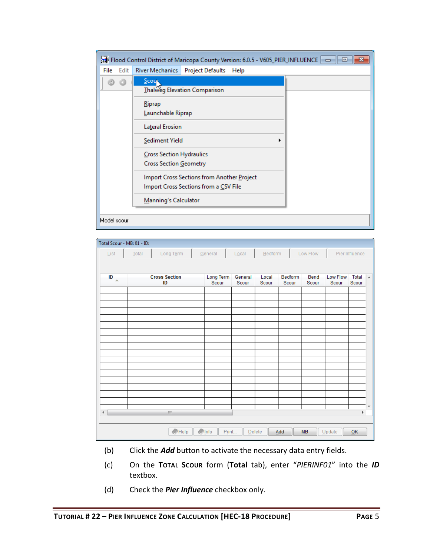|             |      |                                    | Flood Control District of Maricopa County Version: 6.0.5 - V605_PIER_INFLUENCE<br>▣ |  |  |  |  |  |  |
|-------------|------|------------------------------------|-------------------------------------------------------------------------------------|--|--|--|--|--|--|
| File        | Edit | River Mechanics   Project Defaults | Help                                                                                |  |  |  |  |  |  |
|             |      | Scoup                              |                                                                                     |  |  |  |  |  |  |
|             |      |                                    | Thalweg Elevation Comparison                                                        |  |  |  |  |  |  |
|             |      | Riprap                             |                                                                                     |  |  |  |  |  |  |
|             |      | Launchable Riprap                  |                                                                                     |  |  |  |  |  |  |
|             |      | Lateral Erosion                    |                                                                                     |  |  |  |  |  |  |
|             |      | Sediment Yield                     |                                                                                     |  |  |  |  |  |  |
|             |      | Cross Section Hydraulics           |                                                                                     |  |  |  |  |  |  |
|             |      | Cross Section Geometry             |                                                                                     |  |  |  |  |  |  |
|             |      |                                    | Import Cross Sections from Another Project                                          |  |  |  |  |  |  |
|             |      |                                    | Import Cross Sections from a CSV File                                               |  |  |  |  |  |  |
|             |      | Manning's Calculator               |                                                                                     |  |  |  |  |  |  |
|             |      |                                    |                                                                                     |  |  |  |  |  |  |
| Model scour |      |                                    |                                                                                     |  |  |  |  |  |  |

| Total Scour - MB: 01 - ID: |         |                                 |                    |                      |                |                  |               |                   |                |   |
|----------------------------|---------|---------------------------------|--------------------|----------------------|----------------|------------------|---------------|-------------------|----------------|---|
|                            | List    | Long Term<br>General<br>$Iotal$ |                    | $L\underline{o}$ cal | Bedform        |                  | Low Flow      | Pier Influence    |                |   |
|                            |         |                                 |                    |                      |                |                  |               |                   |                |   |
|                            |         |                                 |                    |                      |                |                  |               |                   |                |   |
|                            | ID<br>A | <b>Cross Section</b><br>ID      | Long Term<br>Scour | General<br>Scour     | Local<br>Scour | Bedform<br>Scour | Bend<br>Scour | Low Flow<br>Scour | Total<br>Scour | ۸ |
|                            |         |                                 |                    |                      |                |                  |               |                   |                |   |
|                            |         |                                 |                    |                      |                |                  |               |                   |                |   |
|                            |         |                                 |                    |                      |                |                  |               |                   |                |   |
|                            |         |                                 |                    |                      |                |                  |               |                   |                |   |
|                            |         |                                 |                    |                      |                |                  |               |                   |                |   |
|                            |         |                                 |                    |                      |                |                  |               |                   |                |   |
|                            |         |                                 |                    |                      |                |                  |               |                   |                |   |
|                            |         |                                 |                    |                      |                |                  |               |                   |                |   |
|                            |         |                                 |                    |                      |                |                  |               |                   |                |   |
|                            |         |                                 |                    |                      |                |                  |               |                   |                |   |
|                            |         |                                 |                    |                      |                |                  |               |                   |                |   |
|                            |         |                                 |                    |                      |                |                  |               |                   |                |   |
|                            |         |                                 |                    |                      |                |                  |               |                   |                |   |
|                            |         |                                 |                    |                      |                |                  |               |                   |                | ▼ |
| $\blacktriangleleft$       |         | $\mathbf{m}$                    |                    |                      |                |                  |               |                   | k              |   |
|                            |         |                                 |                    |                      |                |                  |               |                   |                |   |
|                            |         | Help                            | $\bullet$ Info     | Print                | Delete         | Add              | <b>MB</b>     | $Update$          | QK             |   |

- (b) Click the *Add* button to activate the necessary data entry fields.
- (c) On the **TOTAL SCOUR** form (**Total** tab), enter "*PIERINF01*" into the *ID* textbox.
- (d) Check the *Pier Influence* checkbox only.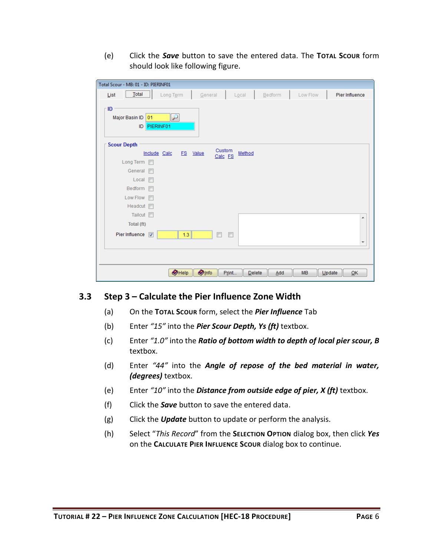(e) Click the *Save* button to save the entered data. The **TOTAL SCOUR** form should look like following figure.

| Total Scour - MB: 01 - ID: PIERINF01                                                                         |
|--------------------------------------------------------------------------------------------------------------|
| $\boxed{\phantom{1}$ Total<br>Local<br>Bedform<br>Low Flow<br>Pier Influence<br>Long Term<br>General<br>List |
| ١D<br>Major Basin ID<br>01<br>PIERINF01<br>ID                                                                |
| <b>Scour Depth</b>                                                                                           |
| Custom<br>Method<br>Include Calc<br>ES<br>Value<br>Calc FS                                                   |
| Long Term                                                                                                    |
| General n                                                                                                    |
| $Local \blacksquare$                                                                                         |
| Bedform                                                                                                      |
| Low Flow <b>Fig.</b>                                                                                         |
| Headcut <b>n</b>                                                                                             |
| Tailcut <b>n</b><br>▲                                                                                        |
| Total (ft)                                                                                                   |
| Pier Influence V<br>1.3<br>$\blacksquare$<br>$\overline{\phantom{a}}$                                        |
| $\overline{\phantom{a}}$                                                                                     |
|                                                                                                              |
| $\bullet$ Help<br><b>O</b> Info<br>Print<br>Add<br><b>MB</b><br>Update<br>Delete<br>QK                       |

#### <span id="page-7-0"></span>**3.3 Step 3 – Calculate the Pier Influence Zone Width**

- (a) On the **TOTAL SCOUR** form, select the *Pier Influence* Tab
- (b) Enter *"15"* into the *Pier Scour Depth, Ys (ft)* textbox.
- (c) Enter *"1.0"* into the *Ratio of bottom width to depth of local pier scour, B* textbox.
- (d) Enter *"44"* into the *Angle of repose of the bed material in water, (degrees)* textbox.
- (e) Enter *"10"* into the *Distance from outside edge of pier, X (ft)* textbox.
- (f) Click the *Save* button to save the entered data.
- (g) Click the *Update* button to update or perform the analysis.
- (h) Select "*This Record*" from the **SELECTION OPTION** dialog box, then click *Yes* on the **CALCULATE PIER INFLUENCE SCOUR** dialog box to continue.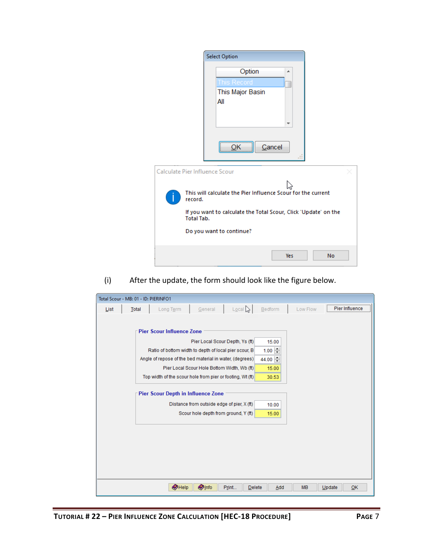|                                | <b>Select Option</b>                                               |  |
|--------------------------------|--------------------------------------------------------------------|--|
|                                | Option<br>┻<br>is Record<br>This Major Basin<br>All<br>٠<br>Cancel |  |
| Calculate Pier Influence Scour |                                                                    |  |
| record.                        | This will calculate the Pier Influence Scour for the current       |  |
| <b>Total Tab.</b>              | If you want to calculate the Total Scour, Click 'Update' on the    |  |
|                                | Do you want to continue?                                           |  |
|                                | No<br><b>Yes</b>                                                   |  |

(i) After the update, the form should look like the figure below.